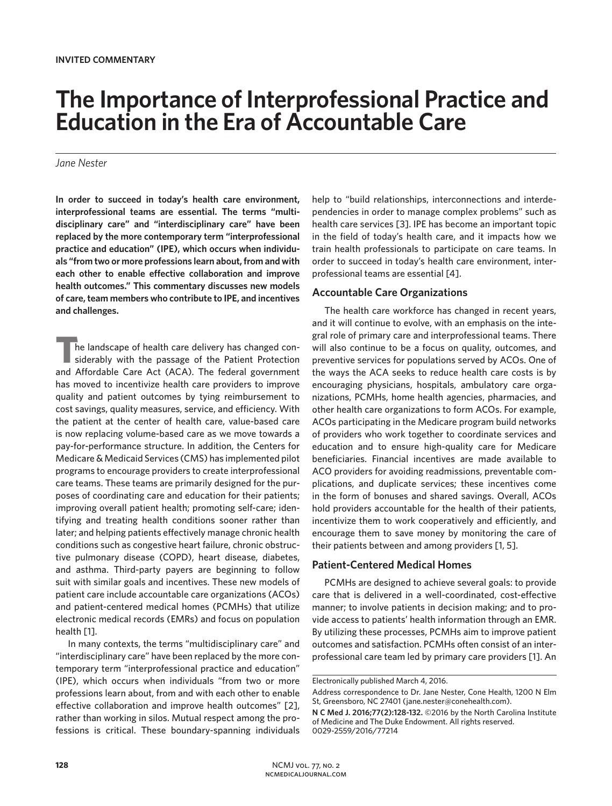# **The Importance of Interprofessional Practice and Education in the Era of Accountable Care**

#### *Jane Nester*

**In order to succeed in today's health care environment, interprofessional teams are essential. The terms "multidisciplinary care" and "interdisciplinary care" have been replaced by the more contemporary term "interprofessional practice and education" (IPE), which occurs when individuals "from two or more professions learn about, from and with each other to enable effective collaboration and improve health outcomes." This commentary discusses new models of care, team members who contribute to IPE, and incentives and challenges.**

**T**he landscape of health care delivery has changed considerably with the passage of the Patient Protection and Affordable Care Act (ACA). The federal government has moved to incentivize health care providers to improve quality and patient outcomes by tying reimbursement to cost savings, quality measures, service, and efficiency. With the patient at the center of health care, value-based care is now replacing volume-based care as we move towards a pay-for-performance structure. In addition, the Centers for Medicare & Medicaid Services (CMS) has implemented pilot programs to encourage providers to create interprofessional care teams. These teams are primarily designed for the purposes of coordinating care and education for their patients; improving overall patient health; promoting self-care; identifying and treating health conditions sooner rather than later; and helping patients effectively manage chronic health conditions such as congestive heart failure, chronic obstructive pulmonary disease (COPD), heart disease, diabetes, and asthma. Third-party payers are beginning to follow suit with similar goals and incentives. These new models of patient care include accountable care organizations (ACOs) and patient-centered medical homes (PCMHs) that utilize electronic medical records (EMRs) and focus on population health [1].

In many contexts, the terms "multidisciplinary care" and "interdisciplinary care" have been replaced by the more contemporary term "interprofessional practice and education" (IPE), which occurs when individuals "from two or more professions learn about, from and with each other to enable effective collaboration and improve health outcomes" [2], rather than working in silos. Mutual respect among the professions is critical. These boundary-spanning individuals help to "build relationships, interconnections and interdependencies in order to manage complex problems" such as health care services [3]. IPE has become an important topic in the field of today's health care, and it impacts how we train health professionals to participate on care teams. In order to succeed in today's health care environment, interprofessional teams are essential [4].

#### **Accountable Care Organizations**

The health care workforce has changed in recent years, and it will continue to evolve, with an emphasis on the integral role of primary care and interprofessional teams. There will also continue to be a focus on quality, outcomes, and preventive services for populations served by ACOs. One of the ways the ACA seeks to reduce health care costs is by encouraging physicians, hospitals, ambulatory care organizations, PCMHs, home health agencies, pharmacies, and other health care organizations to form ACOs. For example, ACOs participating in the Medicare program build networks of providers who work together to coordinate services and education and to ensure high-quality care for Medicare beneficiaries. Financial incentives are made available to ACO providers for avoiding readmissions, preventable complications, and duplicate services; these incentives come in the form of bonuses and shared savings. Overall, ACOs hold providers accountable for the health of their patients, incentivize them to work cooperatively and efficiently, and encourage them to save money by monitoring the care of their patients between and among providers [1, 5].

## **Patient-Centered Medical Homes**

PCMHs are designed to achieve several goals: to provide care that is delivered in a well-coordinated, cost-effective manner; to involve patients in decision making; and to provide access to patients' health information through an EMR. By utilizing these processes, PCMHs aim to improve patient outcomes and satisfaction. PCMHs often consist of an interprofessional care team led by primary care providers [1]. An

Electronically published March 4, 2016.

Address correspondence to Dr. Jane Nester, Cone Health, 1200 N Elm St, Greensboro, NC 27401 (jane.nester@conehealth.com).

**N C Med J. 2016;77(2):128-132.** ©2016 by the North Carolina Institute of Medicine and The Duke Endowment. All rights reserved. 0029-2559/2016/77214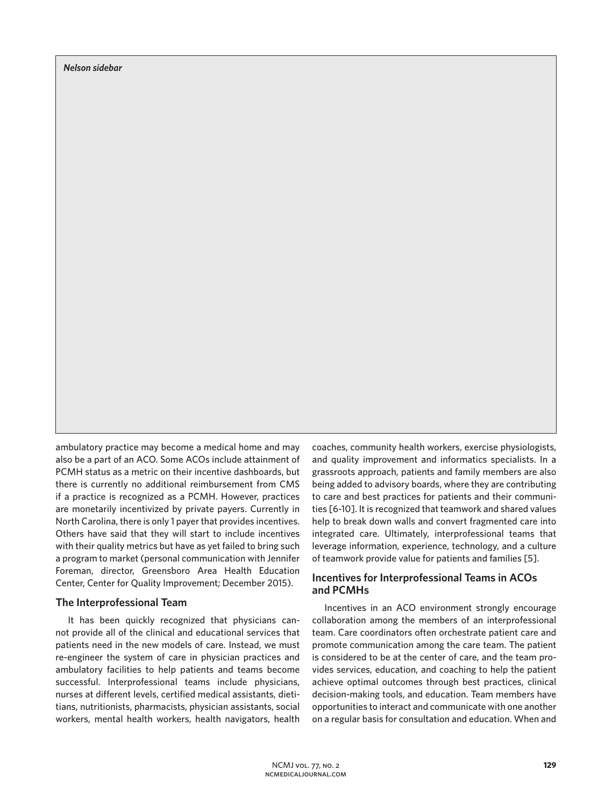*Nelson sidebar*

ambulatory practice may become a medical home and may also be a part of an ACO. Some ACOs include attainment of PCMH status as a metric on their incentive dashboards, but there is currently no additional reimbursement from CMS if a practice is recognized as a PCMH. However, practices are monetarily incentivized by private payers. Currently in North Carolina, there is only 1 payer that provides incentives. Others have said that they will start to include incentives with their quality metrics but have as yet failed to bring such a program to market (personal communication with Jennifer Foreman, director, Greensboro Area Health Education Center, Center for Quality Improvement; December 2015).

#### **The Interprofessional Team**

It has been quickly recognized that physicians cannot provide all of the clinical and educational services that patients need in the new models of care. Instead, we must re-engineer the system of care in physician practices and ambulatory facilities to help patients and teams become successful. Interprofessional teams include physicians, nurses at different levels, certified medical assistants, dietitians, nutritionists, pharmacists, physician assistants, social workers, mental health workers, health navigators, health

coaches, community health workers, exercise physiologists, and quality improvement and informatics specialists. In a grassroots approach, patients and family members are also being added to advisory boards, where they are contributing to care and best practices for patients and their communities [6-10]. It is recognized that teamwork and shared values help to break down walls and convert fragmented care into integrated care. Ultimately, interprofessional teams that leverage information, experience, technology, and a culture of teamwork provide value for patients and families [5].

## **Incentives for Interprofessional Teams in ACOs and PCMHs**

Incentives in an ACO environment strongly encourage collaboration among the members of an interprofessional team. Care coordinators often orchestrate patient care and promote communication among the care team. The patient is considered to be at the center of care, and the team provides services, education, and coaching to help the patient achieve optimal outcomes through best practices, clinical decision-making tools, and education. Team members have opportunities to interact and communicate with one another on a regular basis for consultation and education. When and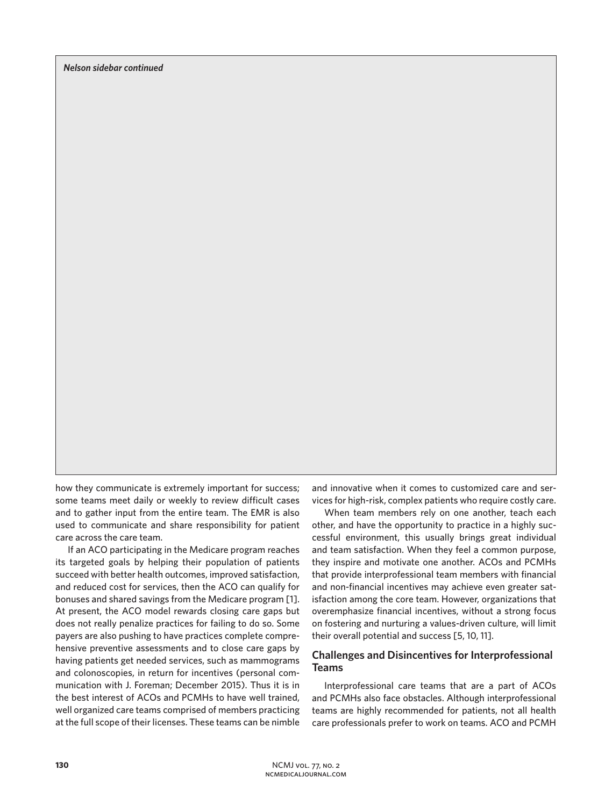how they communicate is extremely important for success; some teams meet daily or weekly to review difficult cases and to gather input from the entire team. The EMR is also used to communicate and share responsibility for patient care across the care team.

If an ACO participating in the Medicare program reaches its targeted goals by helping their population of patients succeed with better health outcomes, improved satisfaction, and reduced cost for services, then the ACO can qualify for bonuses and shared savings from the Medicare program [1]. At present, the ACO model rewards closing care gaps but does not really penalize practices for failing to do so. Some payers are also pushing to have practices complete comprehensive preventive assessments and to close care gaps by having patients get needed services, such as mammograms and colonoscopies, in return for incentives (personal communication with J. Foreman; December 2015). Thus it is in the best interest of ACOs and PCMHs to have well trained, well organized care teams comprised of members practicing at the full scope of their licenses. These teams can be nimble

and innovative when it comes to customized care and services for high-risk, complex patients who require costly care.

When team members rely on one another, teach each other, and have the opportunity to practice in a highly successful environment, this usually brings great individual and team satisfaction. When they feel a common purpose, they inspire and motivate one another. ACOs and PCMHs that provide interprofessional team members with financial and non-financial incentives may achieve even greater satisfaction among the core team. However, organizations that overemphasize financial incentives, without a strong focus on fostering and nurturing a values-driven culture, will limit their overall potential and success [5, 10, 11].

## **Challenges and Disincentives for Interprofessional Teams**

Interprofessional care teams that are a part of ACOs and PCMHs also face obstacles. Although interprofessional teams are highly recommended for patients, not all health care professionals prefer to work on teams. ACO and PCMH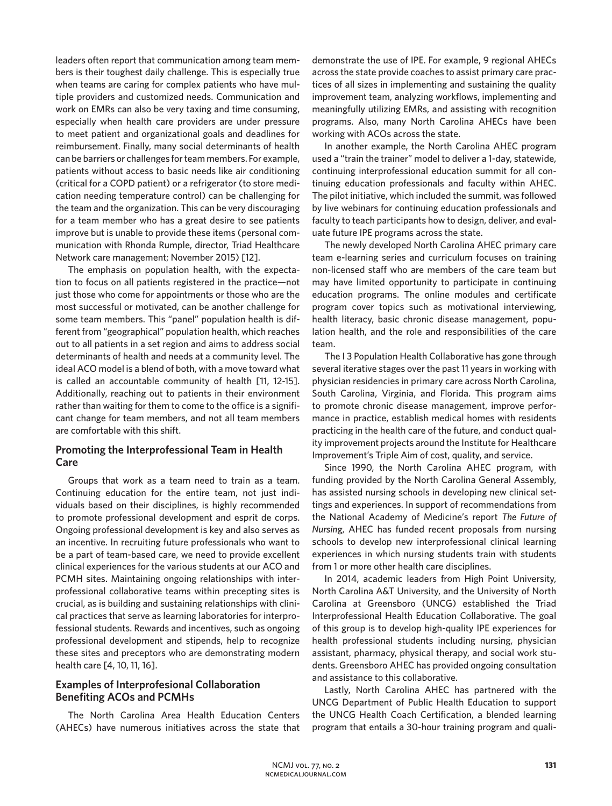leaders often report that communication among team members is their toughest daily challenge. This is especially true when teams are caring for complex patients who have multiple providers and customized needs. Communication and work on EMRs can also be very taxing and time consuming, especially when health care providers are under pressure to meet patient and organizational goals and deadlines for reimbursement. Finally, many social determinants of health can be barriers or challenges for team members. For example, patients without access to basic needs like air conditioning (critical for a COPD patient) or a refrigerator (to store medication needing temperature control) can be challenging for the team and the organization. This can be very discouraging for a team member who has a great desire to see patients improve but is unable to provide these items (personal communication with Rhonda Rumple, director, Triad Healthcare Network care management; November 2015) [12].

The emphasis on population health, with the expectation to focus on all patients registered in the practice—not just those who come for appointments or those who are the most successful or motivated, can be another challenge for some team members. This "panel" population health is different from "geographical" population health, which reaches out to all patients in a set region and aims to address social determinants of health and needs at a community level. The ideal ACO model is a blend of both, with a move toward what is called an accountable community of health [11, 12-15]. Additionally, reaching out to patients in their environment rather than waiting for them to come to the office is a significant change for team members, and not all team members are comfortable with this shift.

## **Promoting the Interprofessional Team in Health Care**

Groups that work as a team need to train as a team. Continuing education for the entire team, not just individuals based on their disciplines, is highly recommended to promote professional development and esprit de corps. Ongoing professional development is key and also serves as an incentive. In recruiting future professionals who want to be a part of team-based care, we need to provide excellent clinical experiences for the various students at our ACO and PCMH sites. Maintaining ongoing relationships with interprofessional collaborative teams within precepting sites is crucial, as is building and sustaining relationships with clinical practices that serve as learning laboratories for interprofessional students. Rewards and incentives, such as ongoing professional development and stipends, help to recognize these sites and preceptors who are demonstrating modern health care [4, 10, 11, 16].

## **Examples of Interprofesional Collaboration Benefiting ACOs and PCMHs**

The North Carolina Area Health Education Centers (AHECs) have numerous initiatives across the state that demonstrate the use of IPE. For example, 9 regional AHECs across the state provide coaches to assist primary care practices of all sizes in implementing and sustaining the quality improvement team, analyzing workflows, implementing and meaningfully utilizing EMRs, and assisting with recognition programs. Also, many North Carolina AHECs have been working with ACOs across the state.

In another example, the North Carolina AHEC program used a "train the trainer" model to deliver a 1-day, statewide, continuing interprofessional education summit for all continuing education professionals and faculty within AHEC. The pilot initiative, which included the summit, was followed by live webinars for continuing education professionals and faculty to teach participants how to design, deliver, and evaluate future IPE programs across the state.

The newly developed North Carolina AHEC primary care team e-learning series and curriculum focuses on training non-licensed staff who are members of the care team but may have limited opportunity to participate in continuing education programs. The online modules and certificate program cover topics such as motivational interviewing, health literacy, basic chronic disease management, population health, and the role and responsibilities of the care team.

The I 3 Population Health Collaborative has gone through several iterative stages over the past 11 years in working with physician residencies in primary care across North Carolina, South Carolina, Virginia, and Florida. This program aims to promote chronic disease management, improve performance in practice, establish medical homes with residents practicing in the health care of the future, and conduct quality improvement projects around the Institute for Healthcare Improvement's Triple Aim of cost, quality, and service.

Since 1990, the North Carolina AHEC program, with funding provided by the North Carolina General Assembly, has assisted nursing schools in developing new clinical settings and experiences. In support of recommendations from the National Academy of Medicine's report *The Future of Nursin*g, AHEC has funded recent proposals from nursing schools to develop new interprofessional clinical learning experiences in which nursing students train with students from 1 or more other health care disciplines.

In 2014, academic leaders from High Point University, North Carolina A&T University, and the University of North Carolina at Greensboro (UNCG) established the Triad Interprofessional Health Education Collaborative. The goal of this group is to develop high-quality IPE experiences for health professional students including nursing, physician assistant, pharmacy, physical therapy, and social work students. Greensboro AHEC has provided ongoing consultation and assistance to this collaborative.

Lastly, North Carolina AHEC has partnered with the UNCG Department of Public Health Education to support the UNCG Health Coach Certification, a blended learning program that entails a 30-hour training program and quali